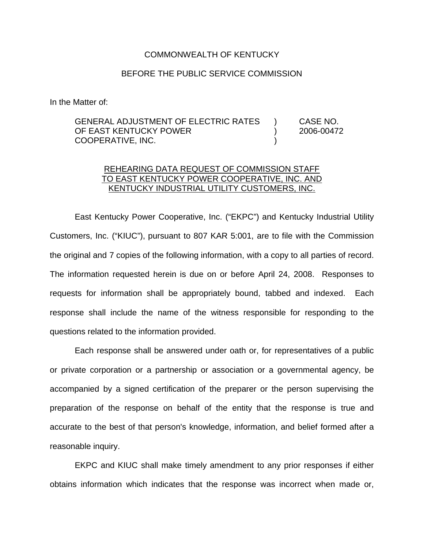## COMMONWEALTH OF KENTUCKY

## BEFORE THE PUBLIC SERVICE COMMISSION

In the Matter of:

## GENERAL ADJUSTMENT OF ELECTRIC RATES ) CASE NO. OF EAST KENTUCKY POWER (2006-00472 COOPERATIVE, INC. )

## REHEARING DATA REQUEST OF COMMISSION STAFF TO EAST KENTUCKY POWER COOPERATIVE, INC. AND KENTUCKY INDUSTRIAL UTILITY CUSTOMERS, INC.

East Kentucky Power Cooperative, Inc. ("EKPC") and Kentucky Industrial Utility Customers, Inc. ("KIUC"), pursuant to 807 KAR 5:001, are to file with the Commission the original and 7 copies of the following information, with a copy to all parties of record. The information requested herein is due on or before April 24, 2008. Responses to requests for information shall be appropriately bound, tabbed and indexed. Each response shall include the name of the witness responsible for responding to the questions related to the information provided.

Each response shall be answered under oath or, for representatives of a public or private corporation or a partnership or association or a governmental agency, be accompanied by a signed certification of the preparer or the person supervising the preparation of the response on behalf of the entity that the response is true and accurate to the best of that person's knowledge, information, and belief formed after a reasonable inquiry.

EKPC and KIUC shall make timely amendment to any prior responses if either obtains information which indicates that the response was incorrect when made or,